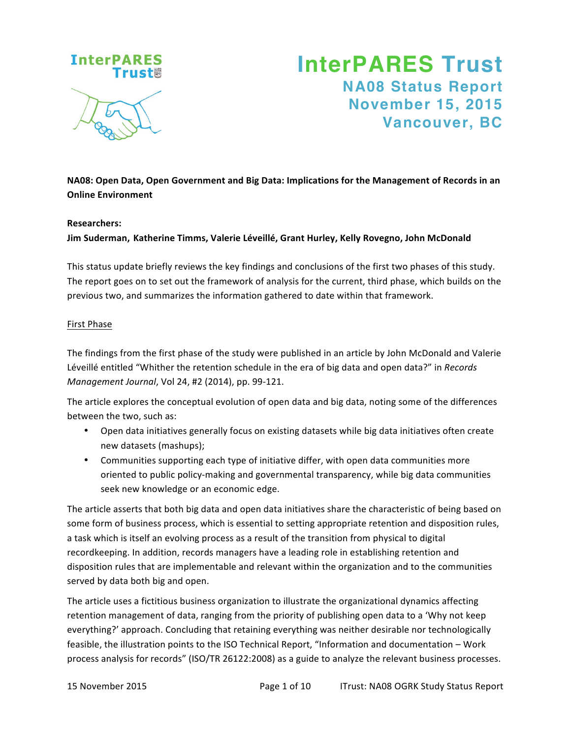

# **InterPARES Trust NA08 Status Report November 15, 2015 Vancouver, BC**

**NA08: Open Data, Open Government and Big Data: Implications for the Management of Records in an Online Environment** 

#### **Researchers:**

**Jim Suderman, Katherine Timms, Valerie Léveillé, Grant Hurley, Kelly Rovegno, John McDonald**

This status update briefly reviews the key findings and conclusions of the first two phases of this study. The report goes on to set out the framework of analysis for the current, third phase, which builds on the previous two, and summarizes the information gathered to date within that framework.

#### First Phase

The findings from the first phase of the study were published in an article by John McDonald and Valerie Léveillé entitled "Whither the retention schedule in the era of big data and open data?" in *Records Management Journal, Vol 24, #2 (2014), pp. 99-121.* 

The article explores the conceptual evolution of open data and big data, noting some of the differences between the two, such as:

- Open data initiatives generally focus on existing datasets while big data initiatives often create new datasets (mashups);
- Communities supporting each type of initiative differ, with open data communities more oriented to public policy-making and governmental transparency, while big data communities seek new knowledge or an economic edge.

The article asserts that both big data and open data initiatives share the characteristic of being based on some form of business process, which is essential to setting appropriate retention and disposition rules, a task which is itself an evolving process as a result of the transition from physical to digital recordkeeping. In addition, records managers have a leading role in establishing retention and disposition rules that are implementable and relevant within the organization and to the communities served by data both big and open.

The article uses a fictitious business organization to illustrate the organizational dynamics affecting retention management of data, ranging from the priority of publishing open data to a 'Why not keep everything?' approach. Concluding that retaining everything was neither desirable nor technologically feasible, the illustration points to the ISO Technical Report, "Information and documentation - Work process analysis for records" (ISO/TR 26122:2008) as a guide to analyze the relevant business processes.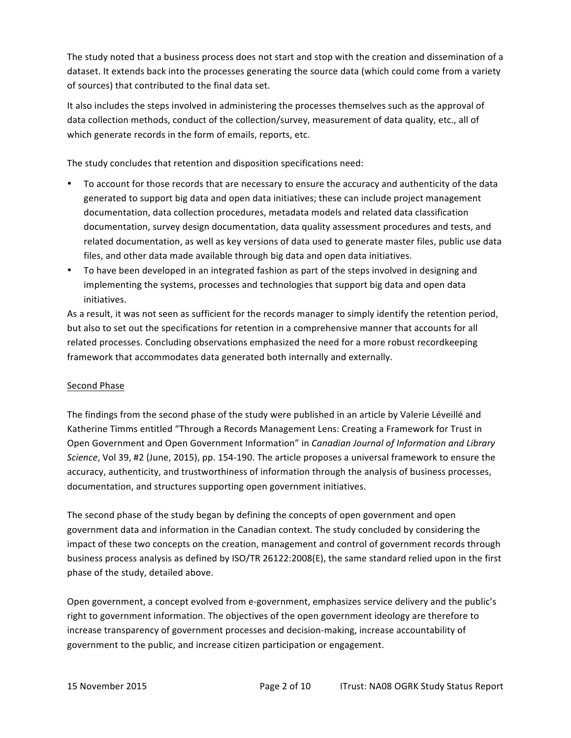The study noted that a business process does not start and stop with the creation and dissemination of a dataset. It extends back into the processes generating the source data (which could come from a variety of sources) that contributed to the final data set.

It also includes the steps involved in administering the processes themselves such as the approval of data collection methods, conduct of the collection/survey, measurement of data quality, etc., all of which generate records in the form of emails, reports, etc.

The study concludes that retention and disposition specifications need:

- To account for those records that are necessary to ensure the accuracy and authenticity of the data generated to support big data and open data initiatives; these can include project management documentation, data collection procedures, metadata models and related data classification documentation, survey design documentation, data quality assessment procedures and tests, and related documentation, as well as key versions of data used to generate master files, public use data files, and other data made available through big data and open data initiatives.
- To have been developed in an integrated fashion as part of the steps involved in designing and implementing the systems, processes and technologies that support big data and open data initiatives.

As a result, it was not seen as sufficient for the records manager to simply identify the retention period, but also to set out the specifications for retention in a comprehensive manner that accounts for all related processes. Concluding observations emphasized the need for a more robust recordkeeping framework that accommodates data generated both internally and externally.

#### Second Phase

The findings from the second phase of the study were published in an article by Valerie Léveillé and Katherine Timms entitled "Through a Records Management Lens: Creating a Framework for Trust in Open Government and Open Government Information" in *Canadian Journal of Information and Library Science*, Vol 39, #2 (June, 2015), pp. 154-190. The article proposes a universal framework to ensure the accuracy, authenticity, and trustworthiness of information through the analysis of business processes, documentation, and structures supporting open government initiatives.

The second phase of the study began by defining the concepts of open government and open government data and information in the Canadian context. The study concluded by considering the impact of these two concepts on the creation, management and control of government records through business process analysis as defined by ISO/TR 26122:2008(E), the same standard relied upon in the first phase of the study, detailed above.

Open government, a concept evolved from e-government, emphasizes service delivery and the public's right to government information. The objectives of the open government ideology are therefore to increase transparency of government processes and decision-making, increase accountability of government to the public, and increase citizen participation or engagement.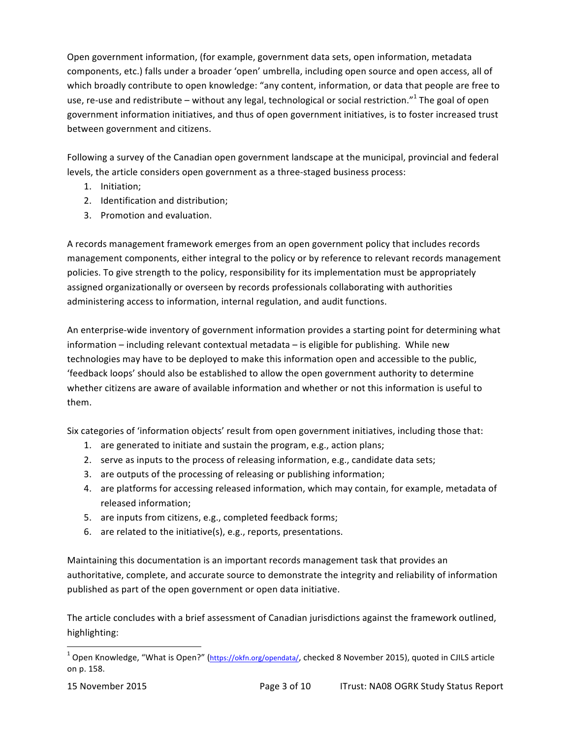Open government information, (for example, government data sets, open information, metadata components, etc.) falls under a broader 'open' umbrella, including open source and open access, all of which broadly contribute to open knowledge: "any content, information, or data that people are free to use, re-use and redistribute – without any legal, technological or social restriction."<sup>1</sup> The goal of open government information initiatives, and thus of open government initiatives, is to foster increased trust between government and citizens.

Following a survey of the Canadian open government landscape at the municipal, provincial and federal levels, the article considers open government as a three-staged business process:

- 1. Initiation;
- 2. Identification and distribution;
- 3. Promotion and evaluation.

A records management framework emerges from an open government policy that includes records management components, either integral to the policy or by reference to relevant records management policies. To give strength to the policy, responsibility for its implementation must be appropriately assigned organizationally or overseen by records professionals collaborating with authorities administering access to information, internal regulation, and audit functions.

An enterprise-wide inventory of government information provides a starting point for determining what information – including relevant contextual metadata – is eligible for publishing. While new technologies may have to be deployed to make this information open and accessible to the public, 'feedback loops' should also be established to allow the open government authority to determine whether citizens are aware of available information and whether or not this information is useful to them.

Six categories of 'information objects' result from open government initiatives, including those that:

- 1. are generated to initiate and sustain the program, e.g., action plans;
- 2. serve as inputs to the process of releasing information, e.g., candidate data sets;
- 3. are outputs of the processing of releasing or publishing information;
- 4. are platforms for accessing released information, which may contain, for example, metadata of released information;
- 5. are inputs from citizens, e.g., completed feedback forms;
- 6. are related to the initiative(s), e.g., reports, presentations.

Maintaining this documentation is an important records management task that provides an authoritative, complete, and accurate source to demonstrate the integrity and reliability of information published as part of the open government or open data initiative.

The article concludes with a brief assessment of Canadian jurisdictions against the framework outlined, highlighting:

 

 $^1$  Open Knowledge, "What is Open?" (https://okfn.org/opendata/, checked 8 November 2015), quoted in CJILS article on p. 158.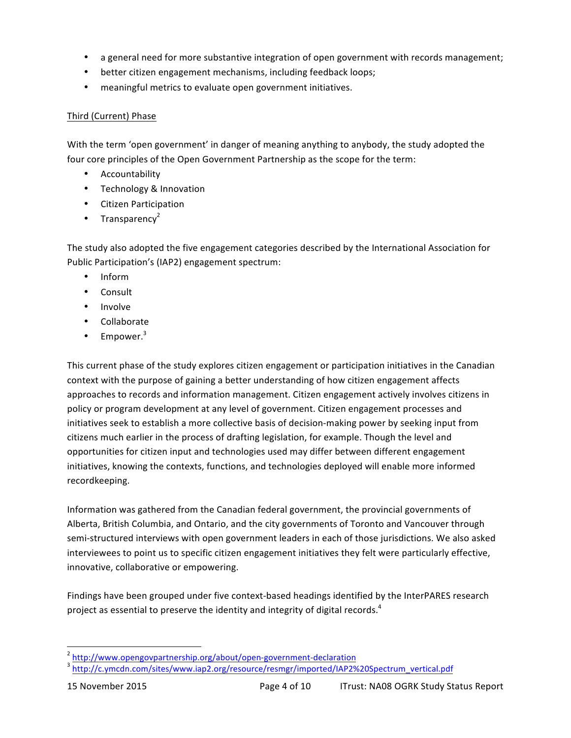- a general need for more substantive integration of open government with records management;
- better citizen engagement mechanisms, including feedback loops;
- meaningful metrics to evaluate open government initiatives.

#### Third (Current) Phase

With the term 'open government' in danger of meaning anything to anybody, the study adopted the four core principles of the Open Government Partnership as the scope for the term:

- Accountability
- Technology & Innovation
- Citizen Participation
- Transparency<sup>2</sup>

The study also adopted the five engagement categories described by the International Association for Public Participation's (IAP2) engagement spectrum:

- Inform
- Consult
- Involve
- Collaborate
- Empower.<sup>3</sup>

This current phase of the study explores citizen engagement or participation initiatives in the Canadian context with the purpose of gaining a better understanding of how citizen engagement affects approaches to records and information management. Citizen engagement actively involves citizens in policy or program development at any level of government. Citizen engagement processes and initiatives seek to establish a more collective basis of decision-making power by seeking input from citizens much earlier in the process of drafting legislation, for example. Though the level and opportunities for citizen input and technologies used may differ between different engagement initiatives, knowing the contexts, functions, and technologies deployed will enable more informed recordkeeping. 

Information was gathered from the Canadian federal government, the provincial governments of Alberta, British Columbia, and Ontario, and the city governments of Toronto and Vancouver through semi-structured interviews with open government leaders in each of those jurisdictions. We also asked interviewees to point us to specific citizen engagement initiatives they felt were particularly effective, innovative, collaborative or empowering.

Findings have been grouped under five context-based headings identified by the InterPARES research project as essential to preserve the identity and integrity of digital records.<sup>4</sup>

<sup>&</sup>lt;sup>2</sup> http://www.opengovpartnership.org/about/open-government-declaration

<sup>&</sup>lt;sup>3</sup> http://c.ymcdn.com/sites/www.iap2.org/resource/resmgr/imported/IAP2%20Spectrum\_vertical.pdf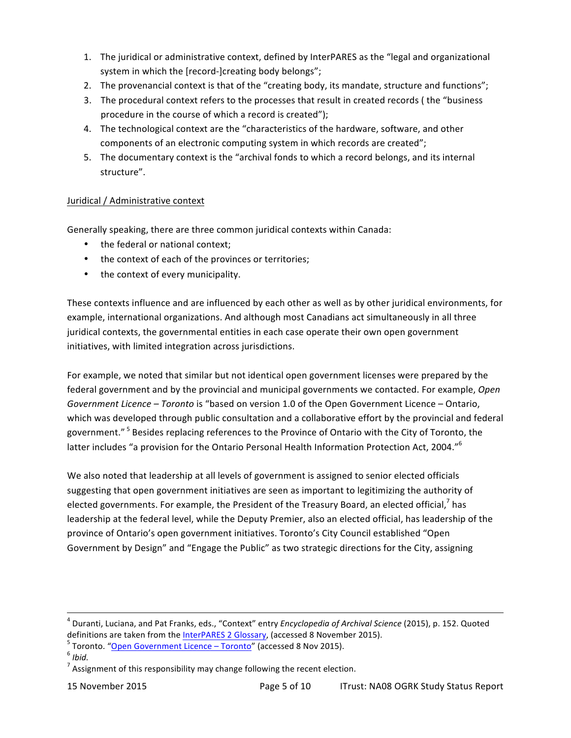- 1. The juridical or administrative context, defined by InterPARES as the "legal and organizational system in which the [record-]creating body belongs";
- 2. The provenancial context is that of the "creating body, its mandate, structure and functions";
- 3. The procedural context refers to the processes that result in created records ( the "business" procedure in the course of which a record is created");
- 4. The technological context are the "characteristics of the hardware, software, and other components of an electronic computing system in which records are created";
- 5. The documentary context is the "archival fonds to which a record belongs, and its internal structure".

# Juridical / Administrative context

Generally speaking, there are three common juridical contexts within Canada:

- the federal or national context;
- the context of each of the provinces or territories;
- the context of every municipality.

These contexts influence and are influenced by each other as well as by other juridical environments, for example, international organizations. And although most Canadians act simultaneously in all three juridical contexts, the governmental entities in each case operate their own open government initiatives, with limited integration across jurisdictions.

For example, we noted that similar but not identical open government licenses were prepared by the federal government and by the provincial and municipal governments we contacted. For example, Open Government Licence - Toronto is "based on version 1.0 of the Open Government Licence - Ontario, which was developed through public consultation and a collaborative effort by the provincial and federal government."<sup>5</sup> Besides replacing references to the Province of Ontario with the City of Toronto, the latter includes "a provision for the Ontario Personal Health Information Protection Act, 2004."<sup>6</sup>

We also noted that leadership at all levels of government is assigned to senior elected officials suggesting that open government initiatives are seen as important to legitimizing the authority of elected governments. For example, the President of the Treasury Board, an elected official,<sup>7</sup> has leadership at the federal level, while the Deputy Premier, also an elected official, has leadership of the province of Ontario's open government initiatives. Toronto's City Council established "Open Government by Design" and "Engage the Public" as two strategic directions for the City, assigning

<u> 1989 - Andrea Santa Andrea Andrea Andrea Andrea Andrea Andrea Andrea Andrea Andrea Andrea Andrea Andrea Andr</u>

<sup>&</sup>lt;sup>4</sup> Duranti, Luciana, and Pat Franks, eds., "Context" entry *Encyclopedia of Archival Science* (2015), p. 152. Quoted definitions are taken from the <u>InterPARES 2 Glossary</u>, (accessed 8 November 2015).<br><sup>5</sup> Toronto. "<u>Open Government Licence – Toronto</u>" (accessed 8 Nov 2015).<br><sup>6</sup> *Ibid.* 

<sup>&</sup>lt;sup>7</sup> Assignment of this responsibility may change following the recent election.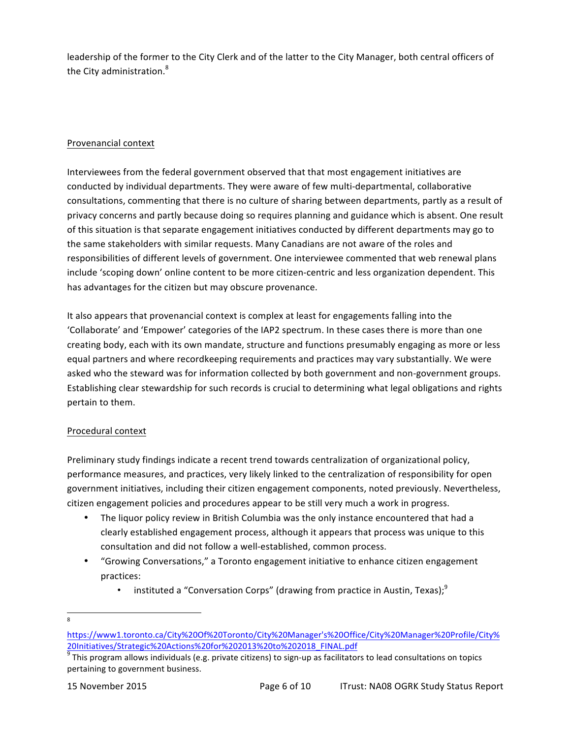leadership of the former to the City Clerk and of the latter to the City Manager, both central officers of the City administration.<sup>8</sup>

### Provenancial context

Interviewees from the federal government observed that that most engagement initiatives are conducted by individual departments. They were aware of few multi-departmental, collaborative consultations, commenting that there is no culture of sharing between departments, partly as a result of privacy concerns and partly because doing so requires planning and guidance which is absent. One result of this situation is that separate engagement initiatives conducted by different departments may go to the same stakeholders with similar requests. Many Canadians are not aware of the roles and responsibilities of different levels of government. One interviewee commented that web renewal plans include 'scoping down' online content to be more citizen-centric and less organization dependent. This has advantages for the citizen but may obscure provenance.

It also appears that provenancial context is complex at least for engagements falling into the 'Collaborate' and 'Empower' categories of the IAP2 spectrum. In these cases there is more than one creating body, each with its own mandate, structure and functions presumably engaging as more or less equal partners and where recordkeeping requirements and practices may vary substantially. We were asked who the steward was for information collected by both government and non-government groups. Establishing clear stewardship for such records is crucial to determining what legal obligations and rights pertain to them.

# Procedural context

Preliminary study findings indicate a recent trend towards centralization of organizational policy, performance measures, and practices, very likely linked to the centralization of responsibility for open government initiatives, including their citizen engagement components, noted previously. Nevertheless, citizen engagement policies and procedures appear to be still very much a work in progress.

- The liquor policy review in British Columbia was the only instance encountered that had a clearly established engagement process, although it appears that process was unique to this consultation and did not follow a well-established, common process.
- "Growing Conversations," a Toronto engagement initiative to enhance citizen engagement practices:
	- instituted a "Conversation Corps" (drawing from practice in Austin, Texas);<sup>9</sup>

<sup>&</sup>lt;u> 1989 - Johann Stein, markin film yn y breninn y breninn y breninn y breninn y breninn y breninn y breninn y b</u> 8

https://www1.toronto.ca/City%20Of%20Toronto/City%20Manager's%20Office/City%20Manager%20Profile/City%  $\frac{9}{9}$ This program allows individuals (e.g. private citizens) to sign-up as facilitators to lead consultations on topics<br> $\frac{9}{9}$ This program allows individuals (e.g. private citizens) to sign-up as facilitators to le

pertaining to government business.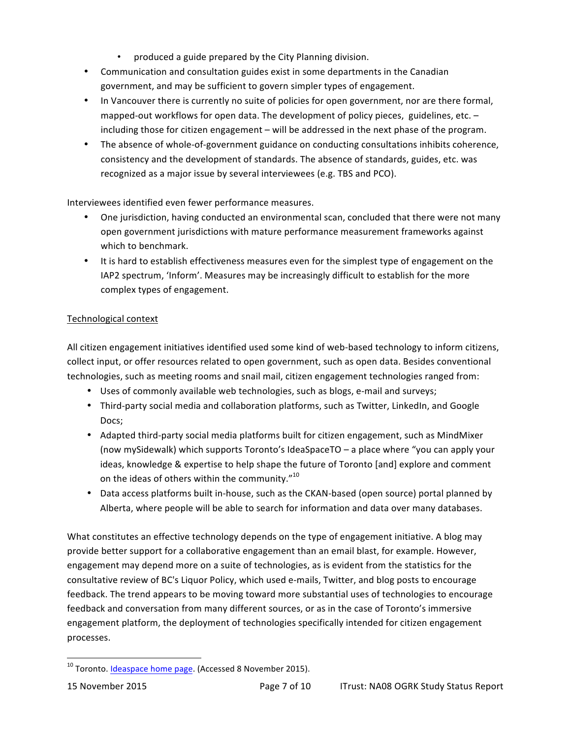- produced a guide prepared by the City Planning division.
- Communication and consultation guides exist in some departments in the Canadian government, and may be sufficient to govern simpler types of engagement.
- In Vancouver there is currently no suite of policies for open government, nor are there formal, mapped-out workflows for open data. The development of policy pieces, guidelines, etc.  $$ including those for citizen engagement  $-$  will be addressed in the next phase of the program.
- The absence of whole-of-government guidance on conducting consultations inhibits coherence, consistency and the development of standards. The absence of standards, guides, etc. was recognized as a major issue by several interviewees (e.g. TBS and PCO).

Interviewees identified even fewer performance measures.

- One jurisdiction, having conducted an environmental scan, concluded that there were not many open government jurisdictions with mature performance measurement frameworks against which to benchmark.
- It is hard to establish effectiveness measures even for the simplest type of engagement on the IAP2 spectrum, 'Inform'. Measures may be increasingly difficult to establish for the more complex types of engagement.

# Technological context

All citizen engagement initiatives identified used some kind of web-based technology to inform citizens, collect input, or offer resources related to open government, such as open data. Besides conventional technologies, such as meeting rooms and snail mail, citizen engagement technologies ranged from:

- Uses of commonly available web technologies, such as blogs, e-mail and surveys;
- Third-party social media and collaboration platforms, such as Twitter, LinkedIn, and Google Docs;
- Adapted third-party social media platforms built for citizen engagement, such as MindMixer (now mySidewalk) which supports Toronto's IdeaSpaceTO – a place where "you can apply your ideas, knowledge & expertise to help shape the future of Toronto [and] explore and comment on the ideas of others within the community. $v^{10}$
- Data access platforms built in-house, such as the CKAN-based (open source) portal planned by Alberta, where people will be able to search for information and data over many databases.

What constitutes an effective technology depends on the type of engagement initiative. A blog may provide better support for a collaborative engagement than an email blast, for example. However, engagement may depend more on a suite of technologies, as is evident from the statistics for the consultative review of BC's Liquor Policy, which used e-mails, Twitter, and blog posts to encourage feedback. The trend appears to be moving toward more substantial uses of technologies to encourage feedback and conversation from many different sources, or as in the case of Toronto's immersive engagement platform, the deployment of technologies specifically intended for citizen engagement processes.

<u> 1989 - Johann Stein, markin film yn y breninn y breninn y breninn y breninn y breninn y breninn y breninn y b</u>

 $^{10}$  Toronto. Ideaspace home page. (Accessed 8 November 2015).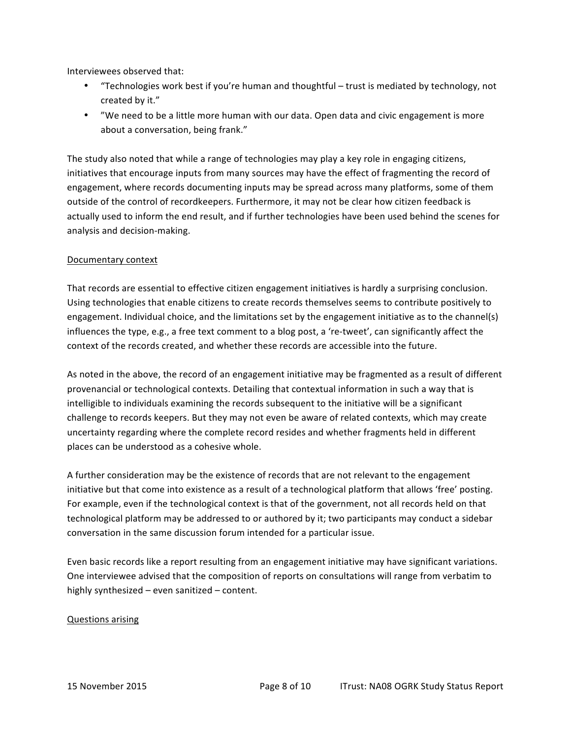Interviewees observed that:

- "Technologies work best if you're human and thoughtful trust is mediated by technology, not created by it."
- "We need to be a little more human with our data. Open data and civic engagement is more about a conversation, being frank."

The study also noted that while a range of technologies may play a key role in engaging citizens, initiatives that encourage inputs from many sources may have the effect of fragmenting the record of engagement, where records documenting inputs may be spread across many platforms, some of them outside of the control of recordkeepers. Furthermore, it may not be clear how citizen feedback is actually used to inform the end result, and if further technologies have been used behind the scenes for analysis and decision-making.

#### Documentary context

That records are essential to effective citizen engagement initiatives is hardly a surprising conclusion. Using technologies that enable citizens to create records themselves seems to contribute positively to engagement. Individual choice, and the limitations set by the engagement initiative as to the channel(s) influences the type, e.g., a free text comment to a blog post, a 're-tweet', can significantly affect the context of the records created, and whether these records are accessible into the future.

As noted in the above, the record of an engagement initiative may be fragmented as a result of different provenancial or technological contexts. Detailing that contextual information in such a way that is intelligible to individuals examining the records subsequent to the initiative will be a significant challenge to records keepers. But they may not even be aware of related contexts, which may create uncertainty regarding where the complete record resides and whether fragments held in different places can be understood as a cohesive whole.

A further consideration may be the existence of records that are not relevant to the engagement initiative but that come into existence as a result of a technological platform that allows 'free' posting. For example, even if the technological context is that of the government, not all records held on that technological platform may be addressed to or authored by it; two participants may conduct a sidebar conversation in the same discussion forum intended for a particular issue.

Even basic records like a report resulting from an engagement initiative may have significant variations. One interviewee advised that the composition of reports on consultations will range from verbatim to highly synthesized  $-$  even sanitized  $-$  content.

#### Questions arising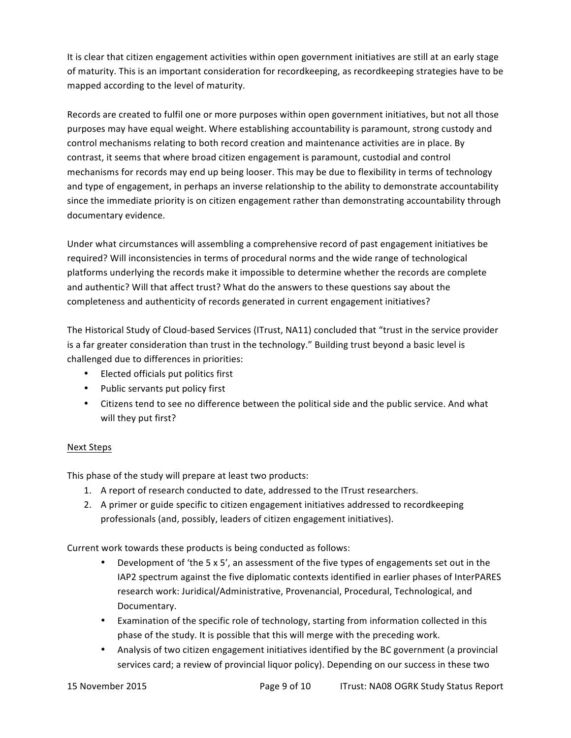It is clear that citizen engagement activities within open government initiatives are still at an early stage of maturity. This is an important consideration for recordkeeping, as recordkeeping strategies have to be mapped according to the level of maturity.

Records are created to fulfil one or more purposes within open government initiatives, but not all those purposes may have equal weight. Where establishing accountability is paramount, strong custody and control mechanisms relating to both record creation and maintenance activities are in place. By contrast, it seems that where broad citizen engagement is paramount, custodial and control mechanisms for records may end up being looser. This may be due to flexibility in terms of technology and type of engagement, in perhaps an inverse relationship to the ability to demonstrate accountability since the immediate priority is on citizen engagement rather than demonstrating accountability through documentary evidence.

Under what circumstances will assembling a comprehensive record of past engagement initiatives be required? Will inconsistencies in terms of procedural norms and the wide range of technological platforms underlying the records make it impossible to determine whether the records are complete and authentic? Will that affect trust? What do the answers to these questions say about the completeness and authenticity of records generated in current engagement initiatives?

The Historical Study of Cloud-based Services (ITrust, NA11) concluded that "trust in the service provider is a far greater consideration than trust in the technology." Building trust beyond a basic level is challenged due to differences in priorities:

- Elected officials put politics first
- Public servants put policy first
- Citizens tend to see no difference between the political side and the public service. And what will they put first?

# Next Steps

This phase of the study will prepare at least two products:

- 1. A report of research conducted to date, addressed to the ITrust researchers.
- 2. A primer or guide specific to citizen engagement initiatives addressed to recordkeeping professionals (and, possibly, leaders of citizen engagement initiatives).

Current work towards these products is being conducted as follows:

- Development of 'the 5 x 5', an assessment of the five types of engagements set out in the IAP2 spectrum against the five diplomatic contexts identified in earlier phases of InterPARES research work: Juridical/Administrative, Provenancial, Procedural, Technological, and Documentary.
- Examination of the specific role of technology, starting from information collected in this phase of the study. It is possible that this will merge with the preceding work.
- Analysis of two citizen engagement initiatives identified by the BC government (a provincial services card; a review of provincial liquor policy). Depending on our success in these two